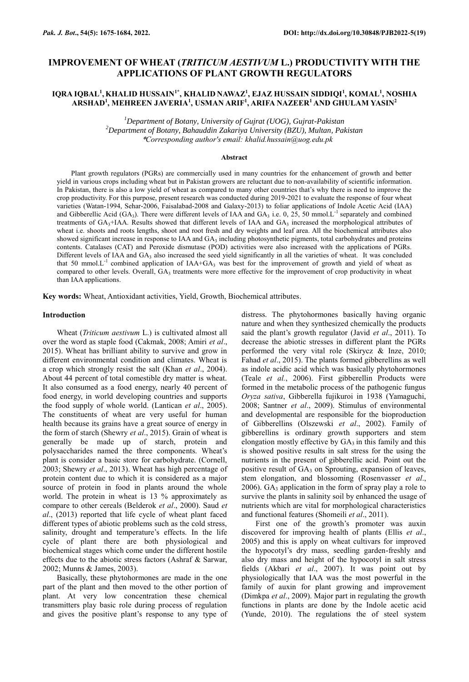# **IMPROVEMENT OF WHEAT (***TRITICUM AESTIVUM* **L.) PRODUCTIVITY WITH THE APPLICATIONS OF PLANT GROWTH REGULATORS**

# **IQRA IQBAL<sup>1</sup> , KHALID HUSSAIN1\*, KHALID NAWAZ<sup>1</sup> , EJAZ HUSSAIN SIDDIQI<sup>1</sup> , KOMAL<sup>1</sup> , NOSHIA ARSHAD<sup>1</sup> , MEHREEN JAVERIA<sup>1</sup> , USMAN ARIF<sup>1</sup> , ARIFA NAZEER<sup>1</sup>AND GHULAM YASIN 2**

*<sup>1</sup>Department of Botany, University of Gujrat (UOG), Gujrat-Pakistan <sup>2</sup>Department of Botany, Bahauddin Zakariya University (BZU), Multan, Pakistan* \**Corresponding author's email: khalid.hussain@uog.edu.pk*

### **Abstract**

Plant growth regulators (PGRs) are commercially used in many countries for the enhancement of growth and better yield in various crops including wheat but in Pakistan growers are reluctant due to non-availability of scientific information. In Pakistan, there is also a low yield of wheat as compared to many other countries that's why there is need to improve the crop productivity. For this purpose, present research was conducted during 2019-2021 to evaluate the response of four wheat varieties (Watan-1994, Sehar-2006, Faisalabad-2008 and Galaxy-2013) to foliar applications of Indole Acetic Acid (IAA) and Gibberellic Acid (GA<sub>3</sub>). There were different levels of IAA and GA<sub>3</sub> i.e. 0, 25, 50 mmol.L<sup>-1</sup> separately and combined treatments of  $GA_3+IAA$ . Results showed that different levels of  $IAA$  and  $GA_3$  increased the morphological attributes of wheat i.e. shoots and roots lengths, shoot and root fresh and dry weights and leaf area. All the biochemical attributes also showed significant increase in response to IAA and  $GA_3$  including photosynthetic pigments, total carbohydrates and proteins contents. Catalases (CAT) and Peroxide dismutase (POD) activities were also increased with the applications of PGRs. Different levels of IAA and  $GA_3$  also increased the seed yield significantly in all the varieties of wheat. It was concluded that 50 mmol. $L^{-1}$  combined application of IAA+GA<sub>3</sub> was best for the improvement of growth and yield of wheat as compared to other levels. Overall, GA<sub>3</sub> treatments were more effective for the improvement of crop productivity in wheat than IAA applications.

**Key words:** Wheat, Antioxidant activities, Yield, Growth, Biochemical attributes.

### **Introduction**

Wheat (*Triticum aestivum* L.) is cultivated almost all over the word as staple food (Cakmak, 2008; Amiri *et al*., 2015). Wheat has brilliant ability to survive and grow in different environmental condition and climates. Wheat is a crop which strongly resist the salt (Khan *et al*., 2004). About 44 percent of total comestible dry matter is wheat. It also consumed as a food energy, nearly 40 percent of food energy, in world developing countries and supports the food supply of whole world. (Lantican *et al*., 2005). The constituents of wheat are very useful for human health because its grains have a great source of energy in the form of starch (Shewry *et al*., 2015). Grain of wheat is generally be made up of starch, protein and polysaccharides named the three components. Wheat's plant is consider a basic store for carbohydrate. (Cornell, 2003; Shewry *et al*., 2013). Wheat has high percentage of protein content due to which it is considered as a major source of protein in food in plants around the whole world. The protein in wheat is 13 % approximately as compare to other cereals (Belderok *et al*., 2000). Saud *et al*., (2013) reported that life cycle of wheat plant faced different types of abiotic problems such as the cold stress, salinity, drought and temperature's effects. In the life cycle of plant there are both physiological and biochemical stages which come under the different hostile effects due to the abiotic stress factors (Ashraf & Sarwar, 2002; Munns & James, 2003).

Basically, these phytohormones are made in the one part of the plant and then moved to the other portion of plant. At very low concentration these chemical transmitters play basic role during process of regulation and gives the positive plant's response to any type of distress. The phytohormones basically having organic nature and when they synthesized chemically the products said the plant's growth regulator (Javid *et al*., 2011). To decrease the abiotic stresses in different plant the PGRs performed the very vital role (Skirycz & Inze, 2010; Fahad *et al*., 2015). The plants formed gibberellins as well as indole acidic acid which was basically phytohormones (Teale *et al.*, 2006). First gibberellin Products were formed in the metabolic process of the pathogenic fungus *Oryza sativa*, Gibberella fujikuroi in 1938 (Yamaguchi, 2008; Santner *et al*., 2009). Stimulus of environmental and developmental are responsible for the bioproduction of Gibberellins (Olszewski *et al*., 2002). Family of gibberellins is ordinary growth supporters and stem elongation mostly effective by  $GA_3$  in this family and this is showed positive results in salt stress for the using the nutrients in the present of gibberellic acid. Point out the positive result of GA<sub>3</sub> on Sprouting, expansion of leaves, stem elongation, and blossoming (Rosenvasser *et al*., 2006). GA $_3$  application in the form of spray play a role to survive the plants in salinity soil by enhanced the usage of nutrients which are vital for morphological characteristics and functional features (Shomeili *et al*., 2011).

First one of the growth's promoter was auxin discovered for improving health of plants (Ellis *et al*., 2005) and this is apply on wheat cultivars for improved the hypocotyl's dry mass, seedling garden-freshly and also dry mass and height of the hypocotyl in salt stress fields (Akbari *et al*., 2007). It was point out by physiologically that IAA was the most powerful in the family of auxin for plant growing and improvement (Dimkpa *et al*., 2009). Major part in regulating the growth functions in plants are done by the Indole acetic acid (Yunde, 2010). The regulations the of steel system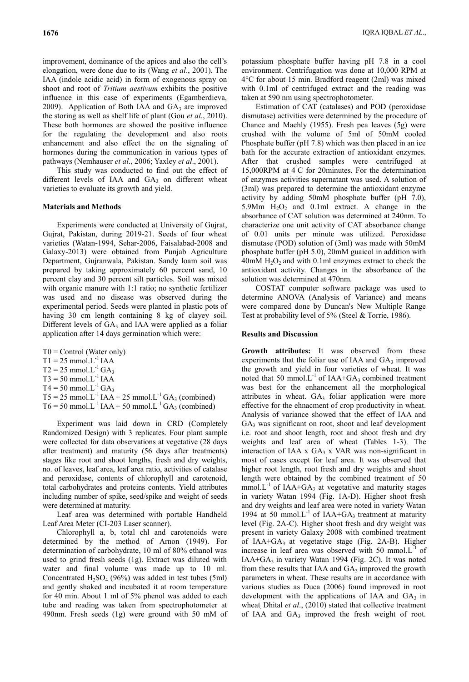improvement, dominance of the apices and also the cell's elongation, were done due to its (Wang *et al*., 2001). The IAA (indole acidic acid) in form of exogenous spray on shoot and root of *Tritium aestivum* exhibits the positive influence in this case of experiments (Egamberdieva, 2009). Application of Both IAA and  $GA_3$  are improved the storing as well as shelf life of plant (Gou *et al*., 2010). These both hormones are showed the positive influence for the regulating the development and also roots enhancement and also effect the on the signaling of hormones during the communication in various types of pathways (Nemhauser *et al*., 2006; Yaxley *et al*., 2001).

This study was conducted to find out the effect of different levels of IAA and  $GA_3$  on different wheat varieties to evaluate its growth and yield.

## **Materials and Methods**

Experiments were conducted at University of Gujrat, Gujrat, Pakistan, during 2019-21. Seeds of four wheat varieties (Watan-1994, Sehar-2006, Faisalabad-2008 and Galaxy-2013) were obtained from Punjab Agriculture Department, Gujranwala, Pakistan. Sandy loam soil was prepared by taking approximately 60 percent sand, 10 percent clay and 30 percent silt particles. Soil was mixed with organic manure with 1:1 ratio; no synthetic fertilizer was used and no disease was observed during the experimental period. Seeds were planted in plastic pots of having 30 cm length containing 8 kg of clayey soil. Different levels of  $GA_3$  and IAA were applied as a foliar application after 14 days germination which were:

- $T0 =$  Control (Water only)
- $T1 = 25$  mmol.L<sup>-1</sup> IAA
- $T2 = 25$  mmol. $L^{-1}GA_3$
- $T3 = 50$  mmol. $L^{-1}$  IAA
- $T4 = 50$  mmol. $L^{-1} GA_3$

 $T5 = 25$  mmol.L<sup>-1</sup> IAA + 25 mmol.L<sup>-1</sup> GA<sub>3</sub> (combined)

 $T6 = 50$  mmol.L<sup>-1</sup> IAA + 50 mmol.L<sup>-1</sup> GA<sub>3</sub> (combined)

Experiment was laid down in CRD (Completely Randomized Design) with 3 replicates. Four plant sample were collected for data observations at vegetative (28 days after treatment) and maturity (56 days after treatments) stages like root and shoot lengths, fresh and dry weights, no. of leaves, leaf area, leaf area ratio, activities of catalase and peroxidase, contents of chlorophyll and carotenoid, total carbohydrates and proteins contents. Yield attributes including number of spike, seed/spike and weight of seeds were determined at maturity.

Leaf area was determined with portable Handheld Leaf Area Meter (CI-203 Laser scanner).

Chlorophyll a, b, total chl and carotenoids were determined by the method of Arnon (1949). For determination of carbohydrate, 10 ml of 80% ethanol was used to grind fresh seeds (1g). Extract was diluted with water and final volume was made up to 10 ml. Concentrated  $H_2SO_4$  (96%) was added in test tubes (5ml) and gently shaked and incubated it at room temperature for 40 min. About 1 ml of 5% phenol was added to each tube and reading was taken from spectrophotometer at 490nm. Fresh seeds (1g) were ground with 50 mM of potassium phosphate buffer having pH 7.8 in a cool environment. Centrifugation was done at 10,000 RPM at 4°C for about 15 min. Bradford reagent (2ml) was mixed with 0.1ml of centrifuged extract and the reading was taken at 590 nm using spectrophotometer.

Estimation of CAT (catalases) and POD (peroxidase dismutase) activities were determined by the procedure of Chance and Maehly (1955). Fresh pea leaves (5g) were crushed with the volume of 5ml of 50mM cooled Phosphate buffer (pH 7.8) which was then placed in an ice bath for the accurate extraction of antioxidant enzymes. After that crushed samples were centrifuged at 15,000RPM at 4°C for 20minutes. For the determination of enzymes activities supernatant was used. A solution of (3ml) was prepared to determine the antioxidant enzyme activity by adding 50mM phosphate buffer (pH 7.0), 5.9Mm  $H_2O_2$  and 0.1ml extract. A change in the absorbance of CAT solution was determined at 240nm. To characterize one unit activity of CAT absorbance change of 0.01 units per minute was utilized. Peroxidase dismutase (POD) solution of (3ml) was made with 50mM phosphate buffer (pH 5.0), 20mM guaicol in addition with  $40 \text{m}$ M  $\text{H}_2\text{O}_2$  and with 0.1ml enzymes extract to check the antioxidant activity. Changes in the absorbance of the solution was determined at 470nm.

COSTAT computer software package was used to determine ANOVA (Analysis of Variance) and means were compared done by Duncan's New Multiple Range Test at probability level of 5% (Steel & Torrie, 1986).

# **Results and Discussion**

**Growth attributes:** It was observed from these experiments that the foliar use of IAA and GA3 improved the growth and yield in four varieties of wheat. It was noted that 50 mmol. $L^{-1}$  of IAA+GA<sub>3</sub> combined treatment was best for the enhancement all the morphological attributes in wheat.  $GA<sub>3</sub>$  foliar application were more effective for the ehnacment of crop productivity in wheat. Analysis of variance showed that the effect of IAA and GA<sub>3</sub> was significant on root, shoot and leaf development i.e. root and shoot length, root and shoot fresh and dry weights and leaf area of wheat (Tables 1-3). The interaction of IAA x  $GA_3$  x VAR was non-significant in most of cases except for leaf area. It was observed that higher root length, root fresh and dry weights and shoot length were obtained by the combined treatment of 50 mmol. $L^{-1}$  of IAA+GA<sub>3</sub> at vegetative and maturity stages in variety Watan 1994 (Fig. 1A-D). Higher shoot fresh and dry weights and leaf area were noted in variety Watan 1994 at 50 mmol. $L^{-1}$  of IAA+GA<sub>3</sub> treatment at maturity level (Fig. 2A-C). Higher shoot fresh and dry weight was present in variety Galaxy 2008 with combined treatment of IAA+GA<sub>3</sub> at vegetative stage (Fig. 2A-B). Higher increase in leaf area was observed with 50 mmol. $L^{-1}$  of IAA+GA3 in variety Watan 1994 (Fig. 2C). It was noted from these results that IAA and  $GA_3$  improved the growth parameters in wheat. These results are in accordance with various studies as Duca (2006) found improved in root development with the applications of IAA and  $GA_3$  in wheat<sub>.</sub> Dhital *et al.*, (2010) stated that collective treatment of IAA and GA<sub>3</sub> improved the fresh weight of root.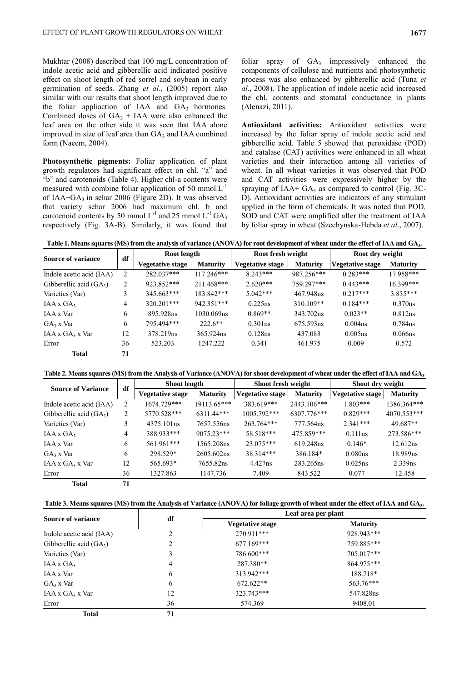Mukhtar (2008) described that 100 mg/L concentration of indole acetic acid and gibberellic acid indicated positive effect on shoot length of red sorrel and soybean in early germination of seeds. Zhang *et al*., (2005) report also similar with our results that shoot length improved due to the foliar appliaction of IAA and  $GA<sub>3</sub>$  hormones. Combined doses of  $GA_3$  + IAA were also enhanced the leaf area on the other side it was seen that IAA alone improved in size of leaf area than  $GA_3$  and IAA combined form (Naeem, 2004).

**Photosynthetic pigments:** Foliar application of plant growth regulators had significant effect on chl. "a" and "b" and carotenoids (Table 4). Higher chl-a contents were measured with combine foliar application of 50 mmol. $L^{-1}$ of IAA+GA<sub>3</sub> in sehar 2006 (Figure 2D). It was observed that variety sehar 2006 had maximum chl. b and carotenoid contents by 50 mmol  $L^{-1}$  and 25 mmol  $L^{-1} G A_3$ respectively (Fig. 3A-B). Similarly, it was found that

foliar spray of  $GA_3$  impressively enhanced the components of cellulose and nutrients and photosynthetic process was also enhanced by gibberellic acid (Tuna *et al*., 2008). The application of indole acetic acid increased the chl. contents and stomatal conductance in plants (Alenazi, 2011).

**Antioxidant activities:** Antioxidant activities were increased by the foliar spray of indole acetic acid and gibberellic acid. Table 5 showed that peroxidase (POD) and catalase (CAT) activities were enhanced in all wheat varieties and their interaction among all varieties of wheat. In all wheat varieties it was observed that POD and CAT activities were expressively higher by the spraying of IAA+  $GA_3$  as compared to control (Fig. 3C-D). Antioxidant activities are indicators of any stimulant applied in the form of chemicals. It was noted that POD, SOD and CAT were amplified after the treatment of IAA by foliar spray in wheat (Szechynska-Hebda *et al*., 2007).

**Table 1. Means squares (MS) from the analysis of variance (ANOVA) for root development of wheat under the effect of IAA and GA<sup>3</sup> .**

| Source of variance           | df             | Root length             |                 | Root fresh weight       |                 | Root dry weight         |                 |
|------------------------------|----------------|-------------------------|-----------------|-------------------------|-----------------|-------------------------|-----------------|
|                              |                | <b>Vegetative stage</b> | <b>Maturity</b> | <b>Vegetative stage</b> | <b>Maturity</b> | <b>Vegetative stage</b> | <b>Maturity</b> |
| Indole acetic acid (IAA)     | 2              | 282.037***              | $117.246***$    | $8.243***$              | 987.256***      | $0.283***$              | 17.958***       |
| Gibberellic acid $(GA_3)$    | $\overline{2}$ | 923.852***              | 211.468***      | $2.620***$              | 759.297***      | $0.443***$              | 16.399***       |
| Varieties (Var)              | 3              | $345.663***$            | 183.842***      | $5.042***$              | 467.948ns       | $0.217***$              | $3.835***$      |
| $IAA \times GA_3$            | 4              | $320.201***$            | 942.351***      | 0.225ns                 | $310.109**$     | $0.184***$              | 0.370ns         |
| IAA x Var                    | 6              | 895.928ns               | 1030.069ns      | $0.869**$               | 343.702ns       | $0.023**$               | 0.812ns         |
| $GA_3$ x Var                 | 6              | 795.494***              | $222.6**$       | $0.301$ ns              | 675.593ns       | 0.004 <sub>ns</sub>     | $0.784$ ns      |
| $IAA \times GA_3 \times Var$ | 12             | 378.219ns               | 365.924ns       | $0.128$ ns              | 437.083         | 0.005ns                 | $0.066$ ns      |
| Error                        | 36             | 523.203                 | 1247.222        | 0.341                   | 461.975         | 0.009                   | 0.572           |
| Total                        | 71             |                         |                 |                         |                 |                         |                 |

**Table 2. Means squares (MS) from the Analysis of Variance (ANOVA) for shoot development of wheat under the effect of IAA and GA<sup>3</sup>**

| <b>Source of Variance</b>    | df | <b>Shoot length</b>     |                 | Shoot fresh weight      |                 | Shoot dry weight        |                 |
|------------------------------|----|-------------------------|-----------------|-------------------------|-----------------|-------------------------|-----------------|
|                              |    | <b>Vegetative stage</b> | <b>Maturity</b> | <b>Vegetative stage</b> | <b>Maturity</b> | <b>Vegetative stage</b> | <b>Maturity</b> |
| Indole acetic acid (IAA)     | 2  | 1674.729***             | 19113.65***     | 383.619***              | 2443.106***     | $1.803***$              | 1386.364***     |
| Gibberellic acid $(GA_3)$    | 2  | 5770.528***             | $6311.44***$    | $1005.792***$           | 6307.776***     | $0.829***$              | 4070.553***     |
| Varieties (Var)              | 3  | 4375.101 <sub>ns</sub>  | 7657.556ns      | 263.764***              | 777.564ns       | $2.341***$              | 49.687**        |
| $IAA \times GA_3$            | 4  | 388.933***              | $9075.23***$    | 58.518***               | 475.859***      | 0.111ns                 | 273.586***      |
| IAA x Var                    | 6  | 561.961***              | 1565.208ns      | $23.075***$             | 619.248ns       | $0.146*$                | 12.612ns        |
| $GA_3$ x Var                 | 6  | 298.529*                | 2605.602ns      | 38.314***               | 386.184*        | 0.080ns                 | 18.989ns        |
| $IAA \times GA_3 \times Var$ | 12 | 565.693*                | 7655.82ns       | 4.427ns                 | 283.265ns       | 0.025ns                 | 2.339ns         |
| Error                        | 36 | 1327.863                | 1147.736        | 7.409                   | 843.522         | 0.077                   | 12.458          |
| <b>Total</b>                 | 71 |                         |                 |                         |                 |                         |                 |

| Table 3. Means squares (MS) from the Analysis of Variance (ANOVA) for foliage growth of wheat under the effect of IAA and GA <sub>3</sub> . |  |  |  |
|---------------------------------------------------------------------------------------------------------------------------------------------|--|--|--|
|                                                                                                                                             |  |  |  |

|                              | df | Leaf area per plant     |                 |  |  |
|------------------------------|----|-------------------------|-----------------|--|--|
| <b>Source of variance</b>    |    | <b>Vegetative stage</b> | <b>Maturity</b> |  |  |
| Indole acetic acid (IAA)     |    | 270.911***              | 928.943***      |  |  |
| Gibberellic acid $(GA_3)$    |    | $677.169***$            | 759.885***      |  |  |
| Varieties (Var)              |    | 786.600***              | $705.017***$    |  |  |
| $IAA \times GA_3$            | 4  | 287.380**               | 864.975***      |  |  |
| IAA x Var                    | 6  | 313.942***              | 188.718*        |  |  |
| $GA_3$ x Var                 | 6  | $672.622**$             | 563.76***       |  |  |
| $IAA \times GA_3 \times Var$ | 12 | 323.743***              | 547.828ns       |  |  |
| Error                        | 36 | 574.369                 | 9408.01         |  |  |
| <b>Total</b>                 | 71 |                         |                 |  |  |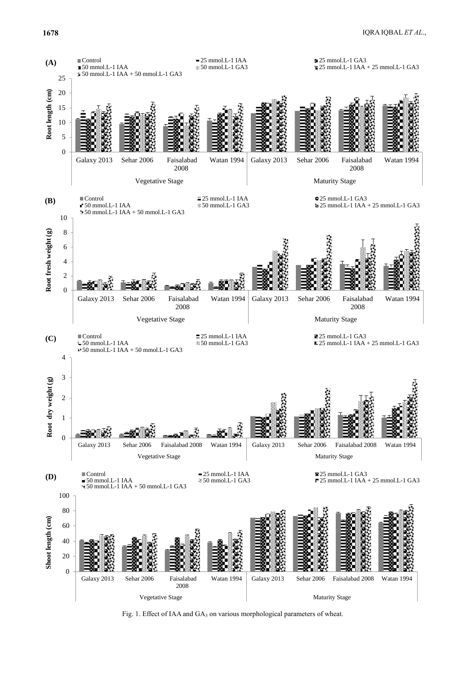

Fig. 1. Effect of IAA and GA<sub>3</sub> on various morphological parameters of wheat.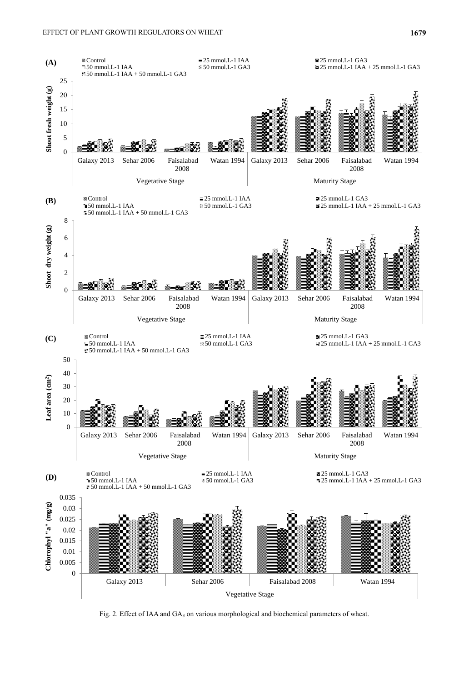

Fig. 2. Effect of IAA and GA<sub>3</sub> on various morphological and biochemical parameters of wheat.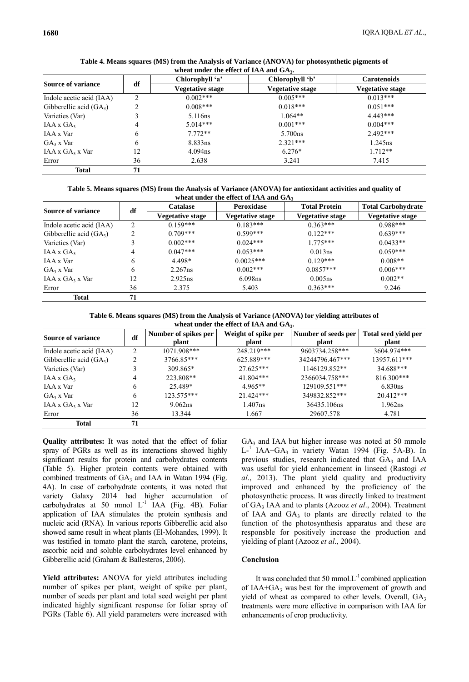|                              |                | Chlorophyll 'a'     | Chlorophyll 'b'     | <b>Carotenoids</b><br>Vegetative stage |  |
|------------------------------|----------------|---------------------|---------------------|----------------------------------------|--|
| <b>Source of variance</b>    | df             | Vegetative stage    | Vegetative stage    |                                        |  |
| Indole acetic acid (IAA)     | $\overline{2}$ | $0.002***$          | $0.005***$          | $0.013***$                             |  |
| Gibberellic acid $(GA_3)$    |                | $0.008***$          | $0.018***$          | $0.051***$                             |  |
| Varieties (Var)              |                | 5.116 <sub>ns</sub> | $1.064**$           | $4.443***$                             |  |
| $IAA \times GA_3$            | 4              | $5.014***$          | $0.001***$          | $0.004***$                             |  |
| IAA x Var                    | 6              | $7.772**$           | 5.700 <sub>ns</sub> | $2.492***$                             |  |
| $GA_3$ x Var                 | 6              | 8.833ns             | $2.321***$          | $1.245$ ns                             |  |
| $IAA \times GA_3 \times Var$ | 12             | $4.094$ ns          | $6.276*$            | $1.712**$                              |  |
| Error                        | 36             | 2.638               | 3.241               | 7.415                                  |  |
| Total                        | 71             |                     |                     |                                        |  |

**Table 4. Means squares (MS) from the Analysis of Variance (ANOVA) for photosynthetic pigments of** 

**Table 5. Means squares (MS) from the Analysis of Variance (ANOVA) for antioxidant activities and quality of wheat under the effect of IAA and GA<sup>3</sup>**

| <b>Source of variance</b>    | df | <b>Catalase</b>  | Peroxidase       | <b>Total Protein</b> | <b>Total Carbohydrate</b> |  |
|------------------------------|----|------------------|------------------|----------------------|---------------------------|--|
|                              |    | Vegetative stage | Vegetative stage | Vegetative stage     | Vegetative stage          |  |
| Indole acetic acid (IAA)     | 2  | $0.159***$       | $0.183***$       | $0.363***$           | $0.988***$                |  |
| Gibberellic acid $(GA_3)$    |    | $0.709***$       | $0.599***$       | $0.122***$           | $0.639***$                |  |
| Varieties (Var)              |    | $0.002***$       | $0.024***$       | $1.775***$           | $0.0433**$                |  |
| $IAA \times GA_3$            | 4  | $0.047***$       | $0.053***$       | 0.013ns              | $0.059***$                |  |
| IAA x Var                    | 6  | 4.498*           | $0.0025***$      | $0.129***$           | $0.008**$                 |  |
| $GA_3$ x Var                 | 6  | $2.267$ ns       | $0.002***$       | $0.0857***$          | $0.006***$                |  |
| $IAA \times GA_3 \times Var$ | 12 | 2.925ns          | 6.098ns          | 0.005ns              | $0.002**$                 |  |
| Error                        | 36 | 2.375            | 5.403            | $0.363***$           | 9.246                     |  |
| <b>Total</b>                 | 71 |                  |                  |                      |                           |  |

**Table 6. Means squares (MS) from the Analysis of Variance (ANOVA) for yielding attributes of** 

| wheat under the effect of IAA and $GA_3$ . |                |                                             |             |                     |                      |  |  |
|--------------------------------------------|----------------|---------------------------------------------|-------------|---------------------|----------------------|--|--|
| <b>Source of variance</b>                  | df             | Weight of spike per<br>Number of spikes per |             | Number of seeds per | Total seed yield per |  |  |
|                                            |                | plant                                       | plant       | plant               | plant                |  |  |
| Indole acetic acid (IAA)                   | 2              | 1071.908***                                 | 248.219***  | 9603734.258***      | 3604.974***          |  |  |
| Gibberellic acid $(GA_3)$                  | $\mathfrak{D}$ | 3766.85***                                  | 625.889***  | 34244796.467***     | 13957.611***         |  |  |
| Varieties (Var)                            |                | 309.865*                                    | $27.625***$ | 1146129.852**       | 34.688***            |  |  |
| $IAA \times GA_3$                          | 4              | 223.808**                                   | 41.804***   | 2366034.758***      | 816.300***           |  |  |
| IAA x Var                                  | 6              | 25.489*                                     | $4.965**$   | 129109.551***       | 6.830ns              |  |  |
| $GA_3$ x Var                               | 6              | 123.575***                                  | 21.424***   | 349832.852***       | $20.412***$          |  |  |
| $IAA \times GA_3 \times Var$               | 12             | 9.062ns                                     | $1.407$ ns  | 36435.106ns         | 1.962ns              |  |  |
| Error                                      | 36             | 13.344                                      | 1.667       | 29607.578           | 4.781                |  |  |
| <b>Total</b>                               | 71             |                                             |             |                     |                      |  |  |

**Quality attributes:** It was noted that the effect of foliar spray of PGRs as well as its interactions showed highly significant results for protein and carbohydrates contents (Table 5). Higher protein contents were obtained with combined treatments of  $GA_3$  and IAA in Watan 1994 (Fig. 4A). In case of carbohydrate contents, it was noted that variety Galaxy 2014 had higher accumulation of carbohydrates at 50 mmol  $L^{-1}$  IAA (Fig. 4B). Foliar application of IAA stimulates the protein synthesis and nucleic acid (RNA). In various reports Gibberellic acid also showed same result in wheat plants (El-Mohandes, 1999). It was testified in tomato plant the starch, carotene, proteins, ascorbic acid and soluble carbohydrates level enhanced by Gibberellic acid (Graham & Ballesteros, 2006).

**Yield attributes:** ANOVA for yield attributes including number of spikes per plant, weight of spike per plant, number of seeds per plant and total seed weight per plant indicated highly significant response for foliar spray of PGRs (Table 6). All yield parameters were increased with

 $GA<sub>3</sub>$  and IAA but higher inrease was noted at 50 mmole L<sup>-1</sup> IAA+GA<sub>3</sub> in variety Watan 1994 (Fig. 5A-B). In previous studies, research indicated that GA3 and IAA was useful for yield enhancement in linseed (Rastogi *et al*., 2013). The plant yield quality and productivity improved and enhanced by the proficiency of the photosynthetic process. It was directly linked to treatment of GA<sup>3</sup> IAA and to plants (Azooz *et al*., 2004). Treatment of IAA and  $GA_3$  to plants are directly related to the function of the photosynthesis apparatus and these are responsble for positively increase the production and yielding of plant (Azooz *et al*., 2004).

# **Conclusion**

It was concluded that 50 mmol. $L^{-1}$  combined application of IAA+GA $_3$  was best for the improvement of growth and yield of wheat as compared to other levels. Overall, GA3 treatments were more effective in comparison with IAA for enhancements of crop productivity.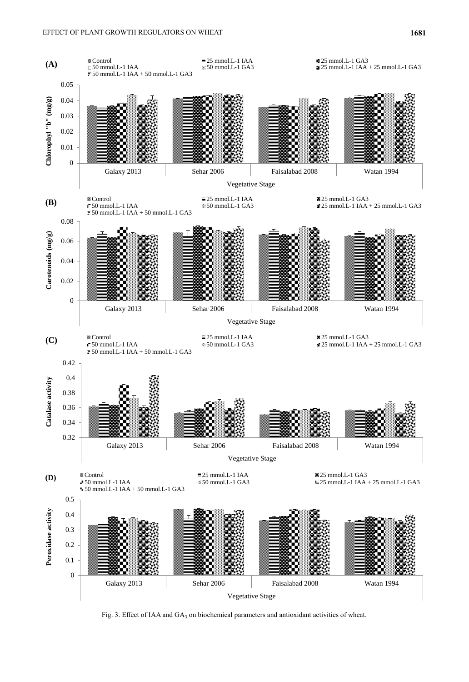

Fig. 3. Effect of IAA and GA<sub>3</sub> on biochemical parameters and antioxidant activities of wheat.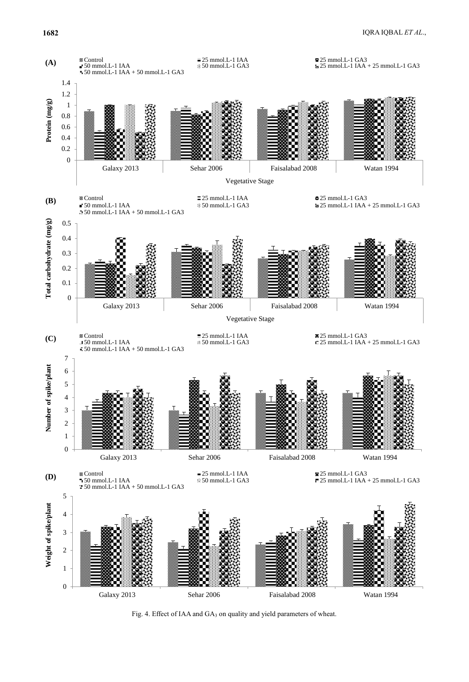

Fig. 4. Effect of IAA and GA<sub>3</sub> on quality and yield parameters of wheat.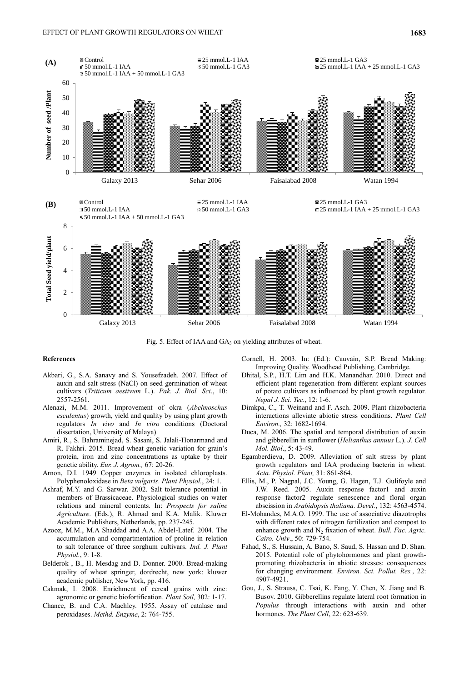

Fig. 5. Effect of IAA and  $GA_3$  on yielding attributes of wheat.

# **References**

- Akbari, G., S.A. Sanavy and S. Yousefzadeh. 2007. Effect of auxin and salt stress (NaCl) on seed germination of wheat cultivars (*Triticum aestivum* L.). *Pak. J. Biol. Sci*., 10: 2557-2561.
- Alenazi, M.M. 2011. Improvement of okra (*Abelmoschus esculentus*) growth, yield and quality by using plant growth regulators *In vivo* and *In vitro* conditions (Doctoral dissertation, University of Malaya).
- Amiri, R., S. Bahraminejad, S. Sasani, S. Jalali-Honarmand and R. Fakhri. 2015. Bread wheat genetic variation for grain's protein, iron and zinc concentrations as uptake by their genetic ability. *Eur. J. Agrom.,* 67: 20-26.
- Arnon, D.I. 1949 Copper enzymes in isolated chloroplasts. Polyphenoloxidase in *Beta vulgaris*. *Plant Physiol.*, 24: 1.
- Ashraf, M.Y. and G. Sarwar. 2002. Salt tolerance potential in members of Brassicaceae. Physiological studies on water relations and mineral contents. In: *Prospects for saline Agriculture*. (Eds.), R. Ahmad and K.A. Malik. Kluwer Academic Publishers, Netherlands, pp. 237-245.
- Azooz, M.M., M.A Shaddad and A.A. Abdel-Latef. 2004. The accumulation and compartmentation of proline in relation to salt tolerance of three sorghum cultivars. *Ind. J. Plant Physiol.*, 9: 1-8.
- Belderok , B., H. Mesdag and D. Donner. 2000. Bread-making quality of wheat springer, dordrecht, new york: kluwer academic publisher, New York, pp. 416.
- Cakmak, I. 2008. Enrichment of cereal grains with zinc: agronomic or genetic biofortification. *Plant Soil,* 302: 1-17.
- Chance, B. and C.A. Maehley. 1955. Assay of catalase and peroxidases. *Methd. Enzyme*, 2: 764-755.
- Cornell, H. 2003. In: (Ed.): Cauvain, S.P. Bread Making: Improving Quality. Woodhead Publishing, Cambridge.
- Dhital, S.P., H.T. Lim and H.K. Manandhar. 2010. Direct and efficient plant regeneration from different explant sources of potato cultivars as influenced by plant growth regulator. *Nepal J. Sci. Tec.*, 12: 1-6.
- Dimkpa, C., T. Weinand and F. Asch. 2009. Plant rhizobacteria interactions alleviate abiotic stress conditions. *Plant Cell Environ.,* 32: 1682-1694.
- Duca, M. 2006. The spatial and temporal distribution of auxin and gibberellin in sunflower (*Helianthus annuus* L.). *J. Cell Mol. Biol*., 5: 43-49.
- Egamberdieva, D. 2009. Alleviation of salt stress by plant growth regulators and IAA producing bacteria in wheat. *Acta. Physiol. Plant,* 31: 861-864.
- Ellis, M., P. Nagpal, J.C. Young, G. Hagen, T.J. Gulifoyle and J.W. Reed. 2005. Auxin response factor1 and auxin response factor2 regulate senescence and floral organ abscission in *Arabidopsis thaliana. Devel.*, 132: 4563-4574.
- El-Mohandes, M.A.O. 1999. The use of associative diazotrophs with different rates of nitrogen fertilization and compost to enhance growth and N<sub>2</sub> fixation of wheat. *Bull. Fac. Agric. Cairo. Univ*., 50: 729-754.
- Fahad, S., S. Hussain, A. Bano, S. Saud, S. Hassan and D. Shan. 2015. Potential role of phytohormones and plant growthpromoting rhizobacteria in abiotic stresses: consequences for changing environment. *Environ. Sci. Pollut. Res.*, 22: 4907-4921.
- Gou, J., S. Strauss, C. Tsai, K. Fang, Y. Chen, X. Jiang and B. Busov. 2010. Gibberellins regulate lateral root formation in *Populus* through interactions with auxin and other hormones. *The Plant Cell*, 22: 623-639.